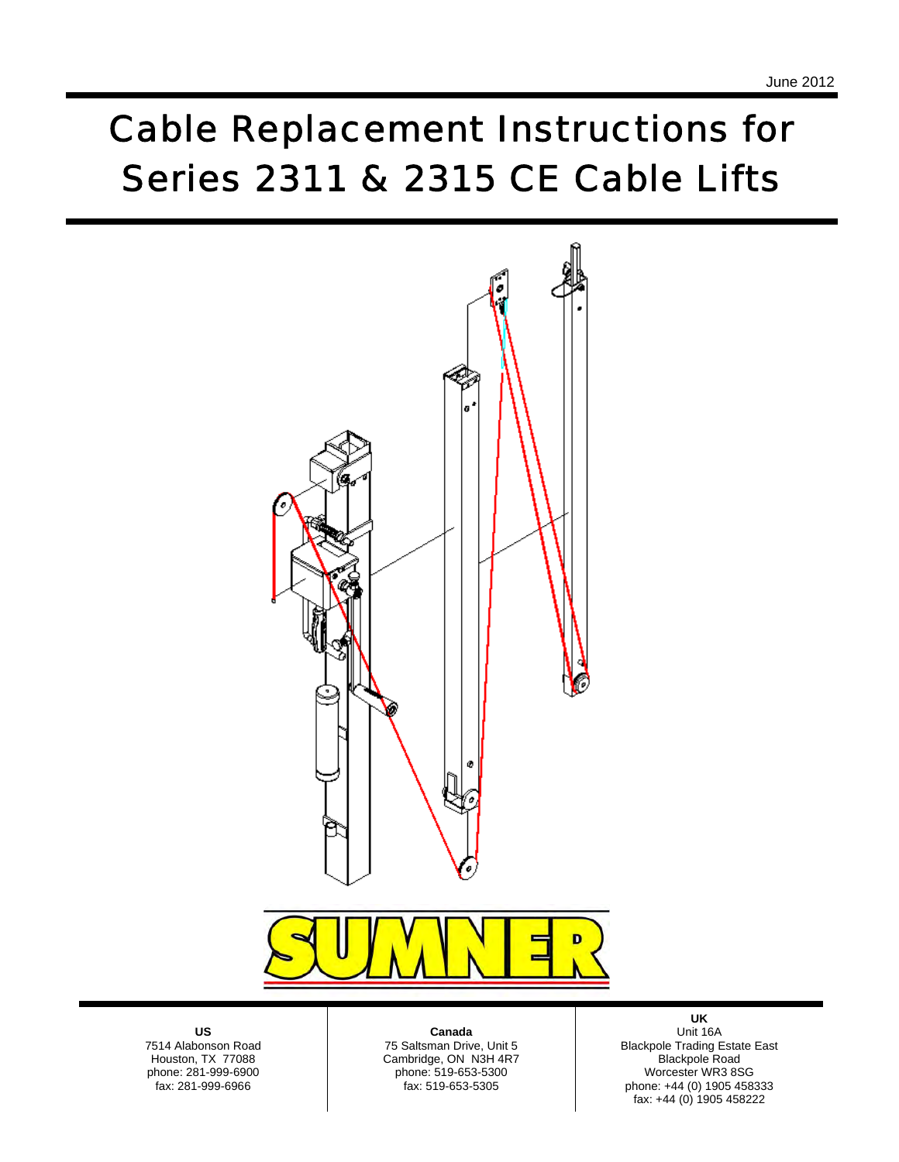## *Cable Replacement Instructions for Series 2311 & 2315 CE Cable Lifts*



**US**  7514 Alabonson Road Houston, TX 77088 phone: 281-999-6900 fax: 281-999-6966

**Canada** 

 fax: 519-653-5305 75 Saltsman Drive, Unit 5 Cambridge, ON N3H 4R7 phone: 519-653-5300

**UK**  Unit 16A Blackpole Trading Estate East Blackpole Road Worcester WR3 8SG phone: +44 (0) 1905 458333 fax: +44 (0) 1905 458222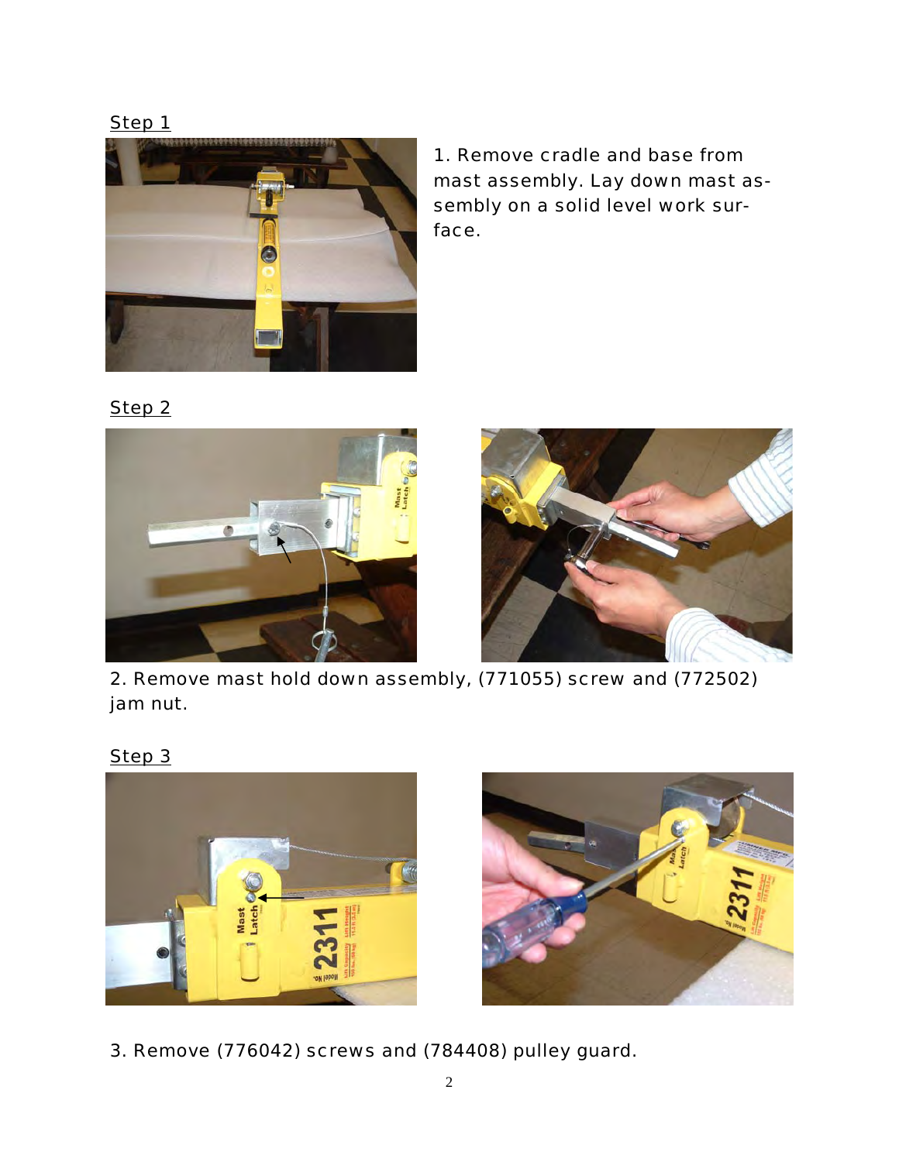

*1. Remove cradle and base from mast assembly. Lay down mast assembly on a solid level work surface.* 

*Step 2*





*2. Remove mast hold down assembly, (771055) screw and (772502) jam nut.* 

*Step 3*





*3. Remove (776042) screws and (784408) pulley guard.*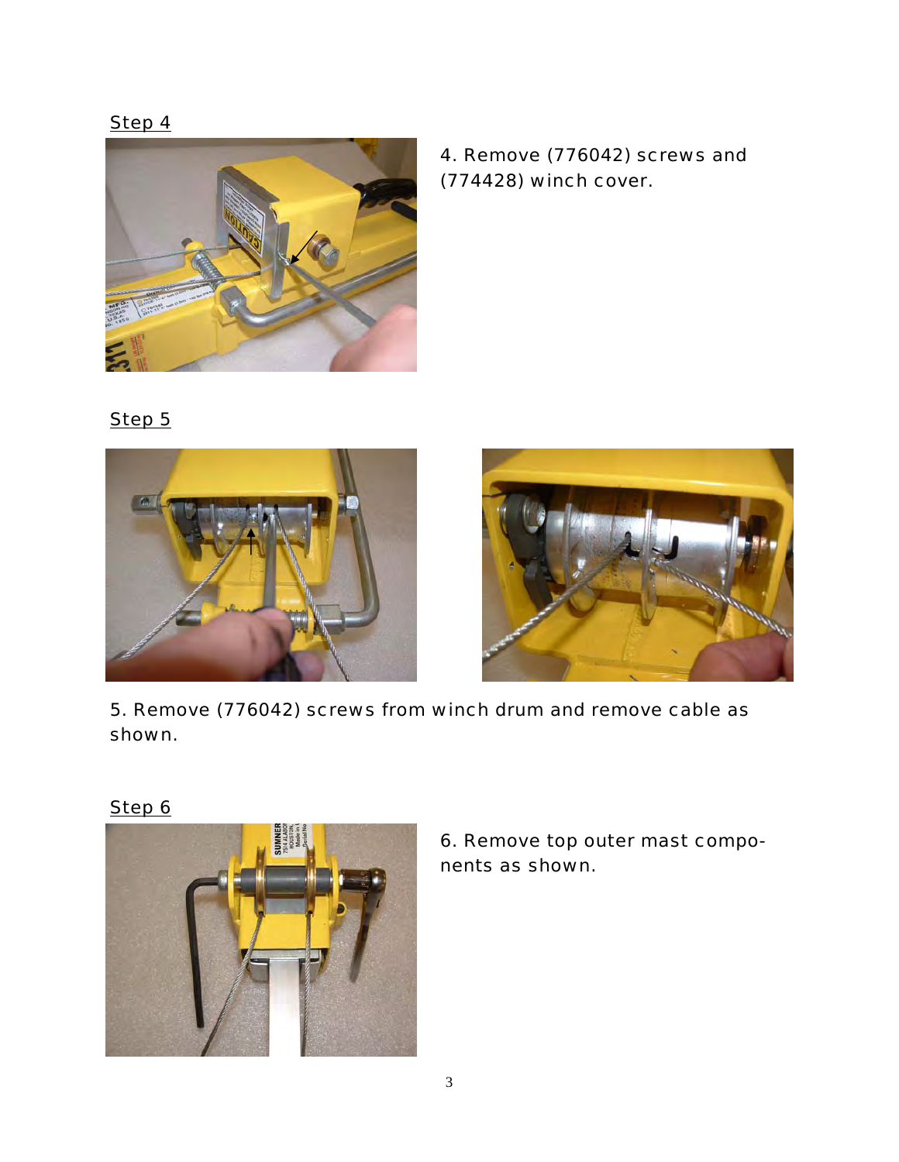*Step 4*



*4. Remove (776042) screws and (774428) winch cover.* 

*Step 5*





*5. Remove (776042) screws from winch drum and remove cable as shown.* 



*6. Remove top outer mast components as shown.*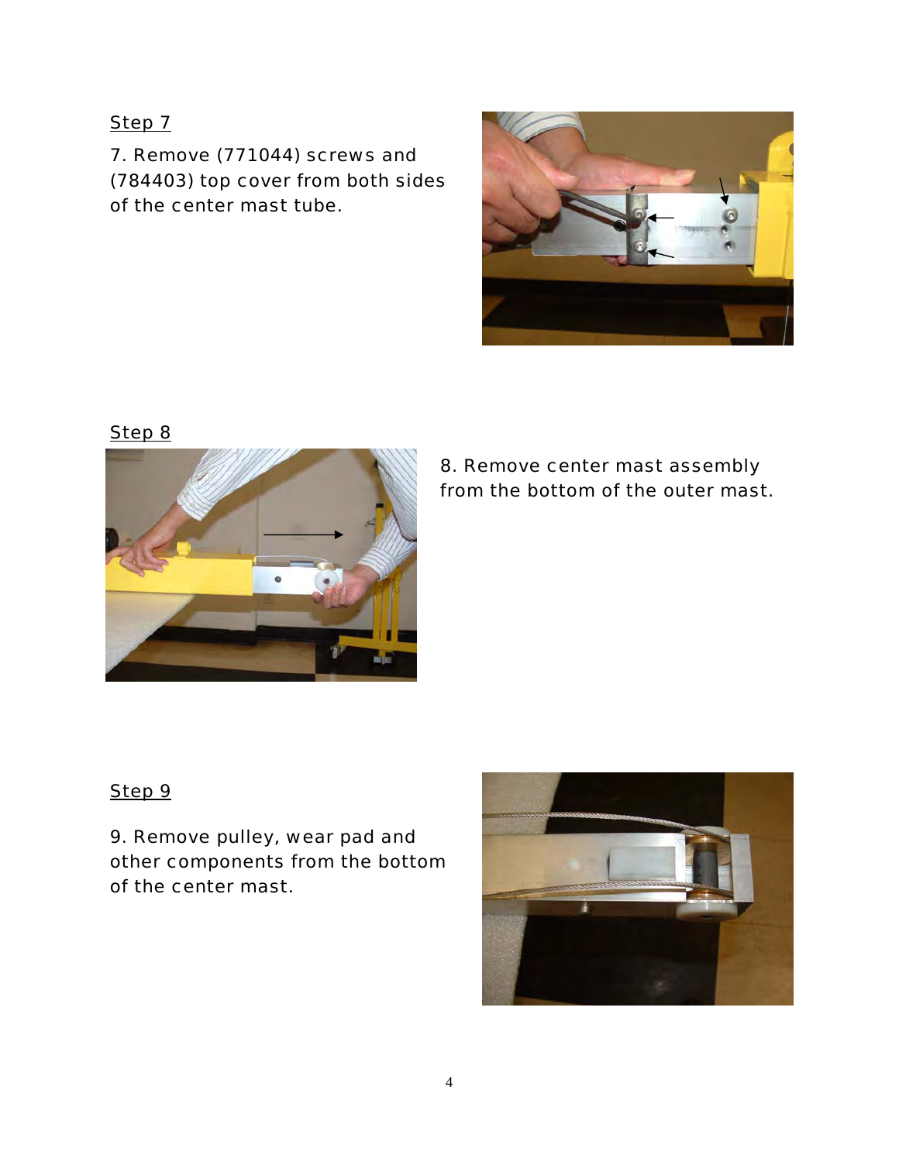*7. Remove (771044) screws and (784403) top cover from both sides of the center mast tube.* 



*Step 8*



*8. Remove center mast assembly from the bottom of the outer mast.* 

*Step 9*

*9. Remove pulley, wear pad and other components from the bottom of the center mast.* 

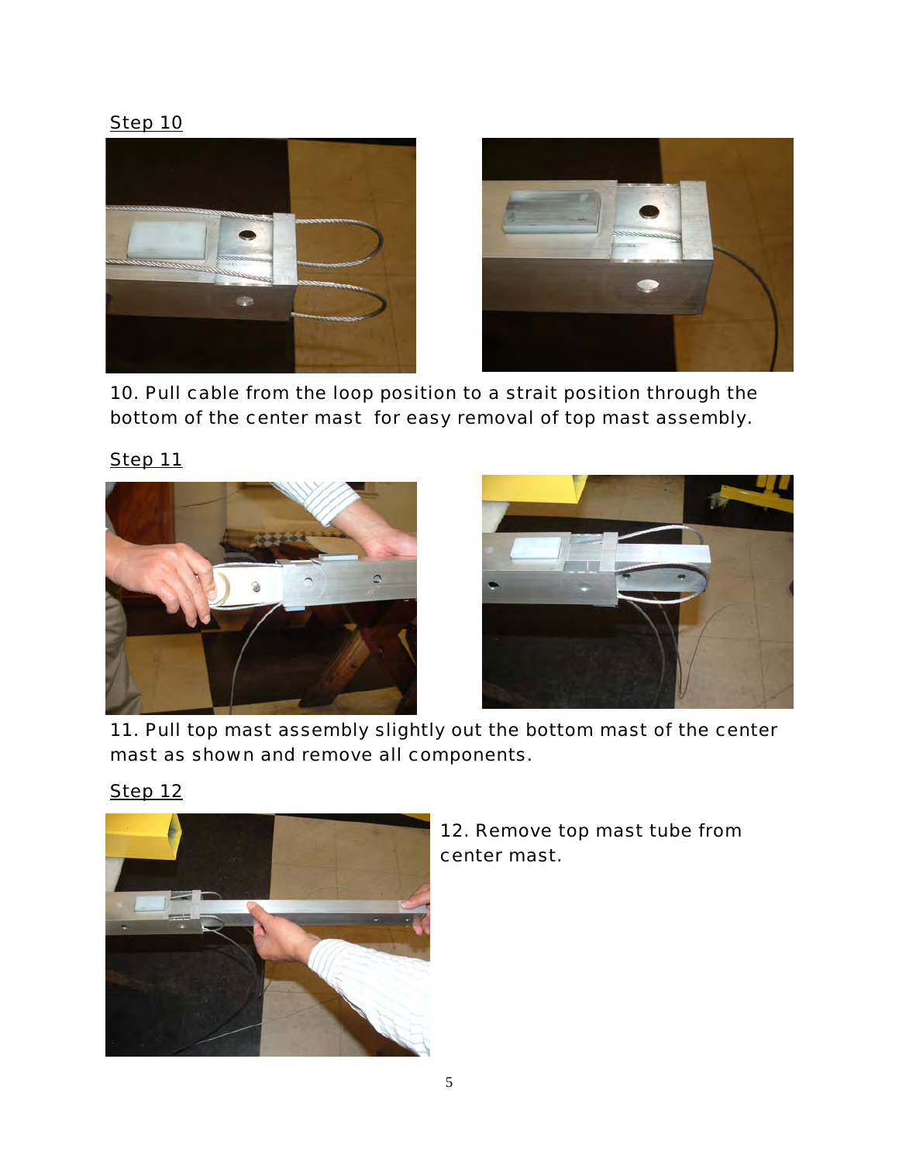



*10. Pull cable from the loop position to a strait position through the bottom of the center mast for easy removal of top mast assembly.* 





*11. Pull top mast assembly slightly out the bottom mast of the center mast as shown and remove all components.* 



*12. Remove top mast tube from center mast.* 

*Step 12*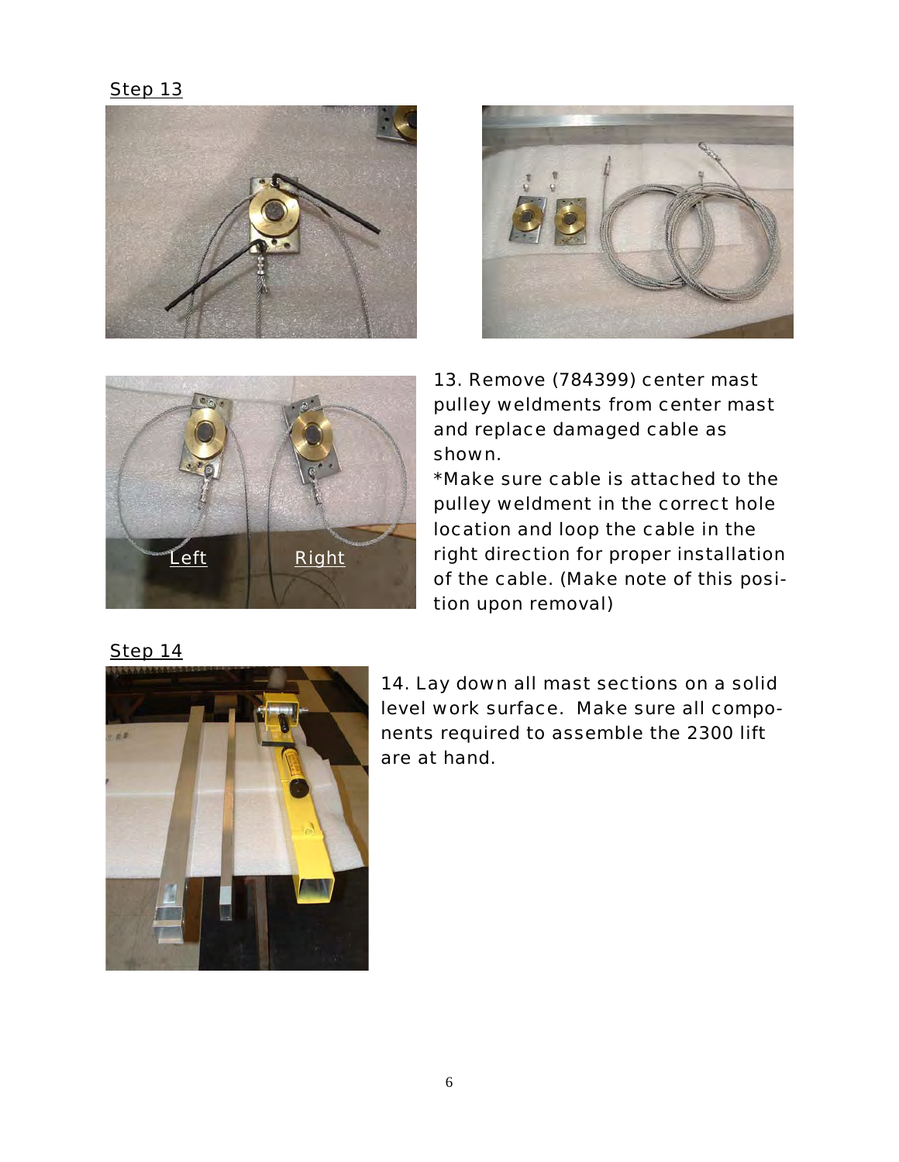





*13. Remove (784399) center mast pulley weldments from center mast and replace damaged cable as shown.* 

*\*Make sure cable is attached to the pulley weldment in the correct hole location and loop the cable in the right direction for proper installation of the cable. (Make note of this position upon removal)* 



*14. Lay down all mast sections on a solid level work surface. Make sure all components required to assemble the 2300 lift are at hand.*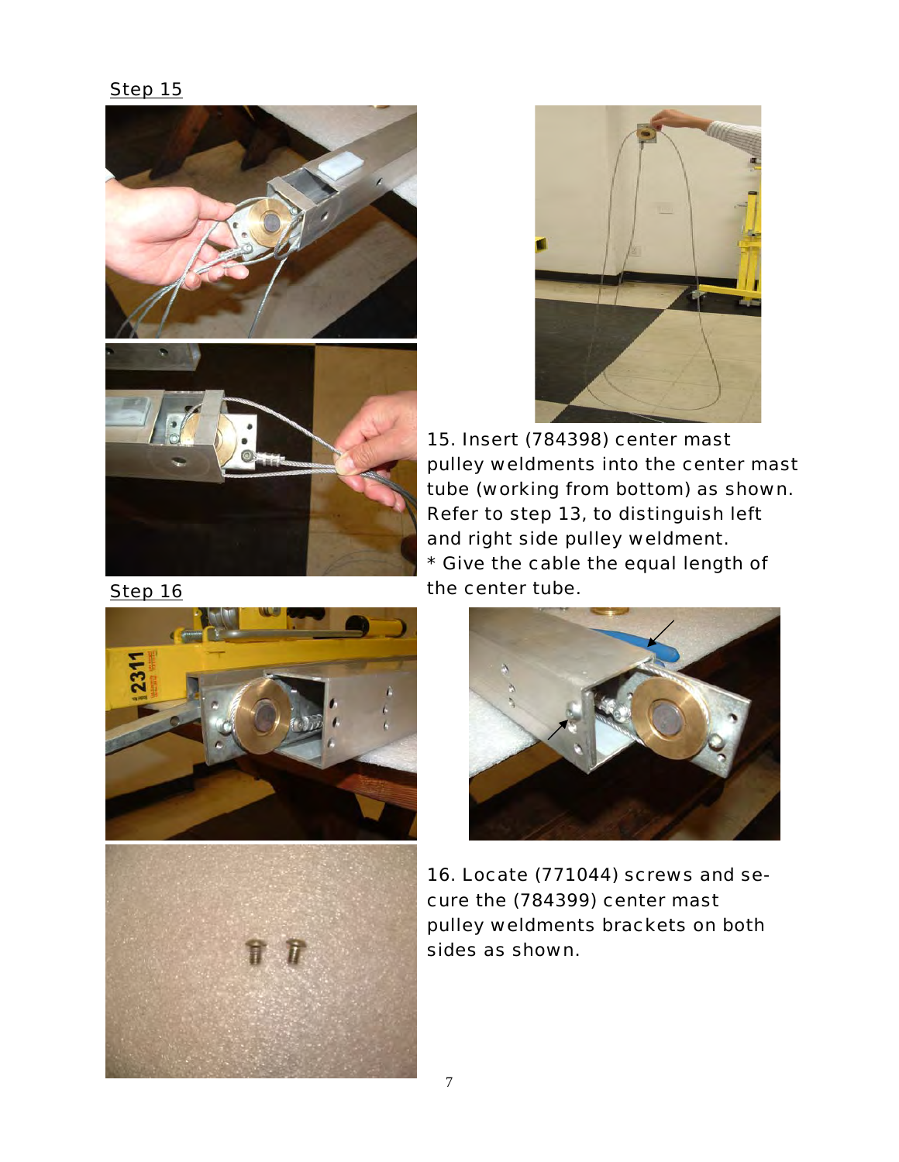



*15. Insert (784398) center mast pulley weldments into the center mast tube (working from bottom) as shown. Refer to step 13, to distinguish left and right side pulley weldment. \* Give the cable the equal length of the center tube.* 







*16. Locate (771044) screws and secure the (784399) center mast pulley weldments brackets on both sides as shown.*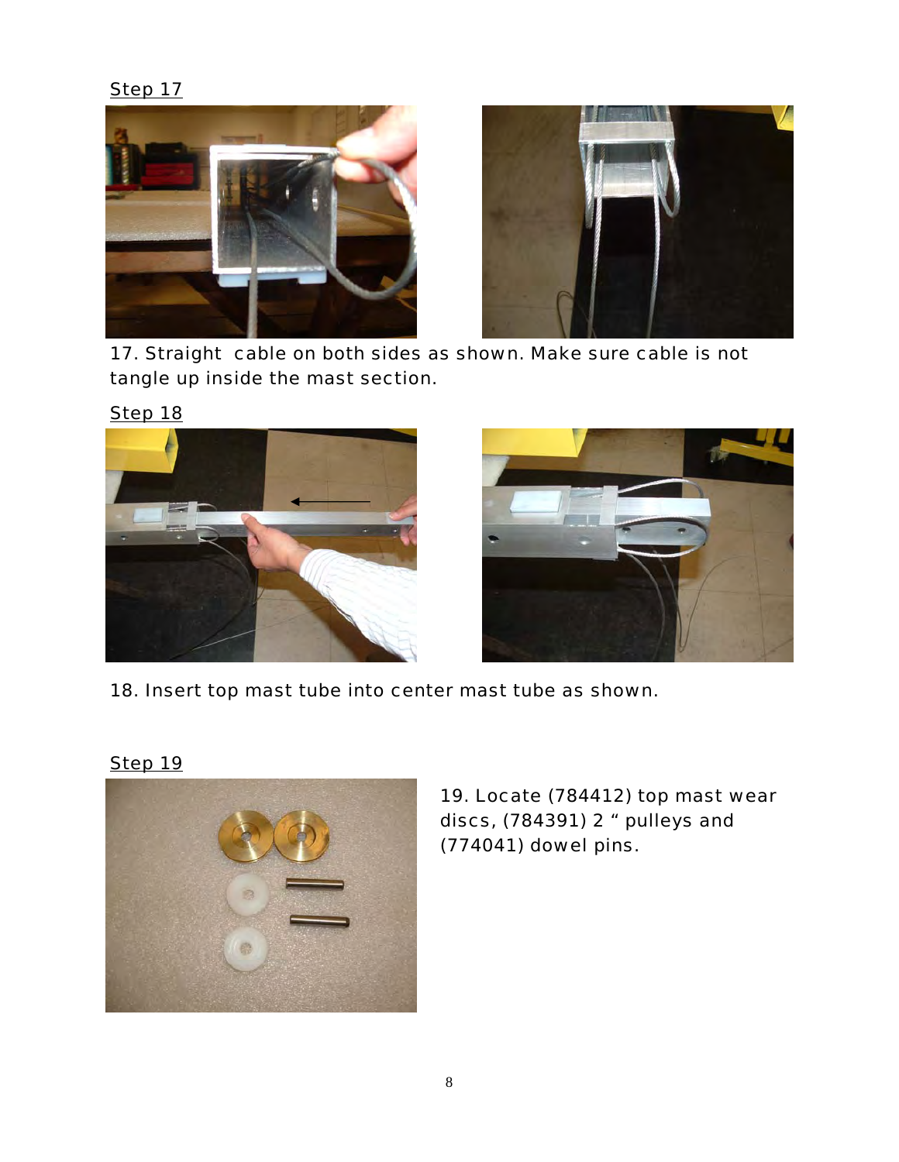



*17. Straight cable on both sides as shown. Make sure cable is not tangle up inside the mast section.* 



*18. Insert top mast tube into center mast tube as shown.* 

*Step 19*



*19. Locate (784412) top mast wear discs, (784391) 2 " pulleys and (774041) dowel pins.*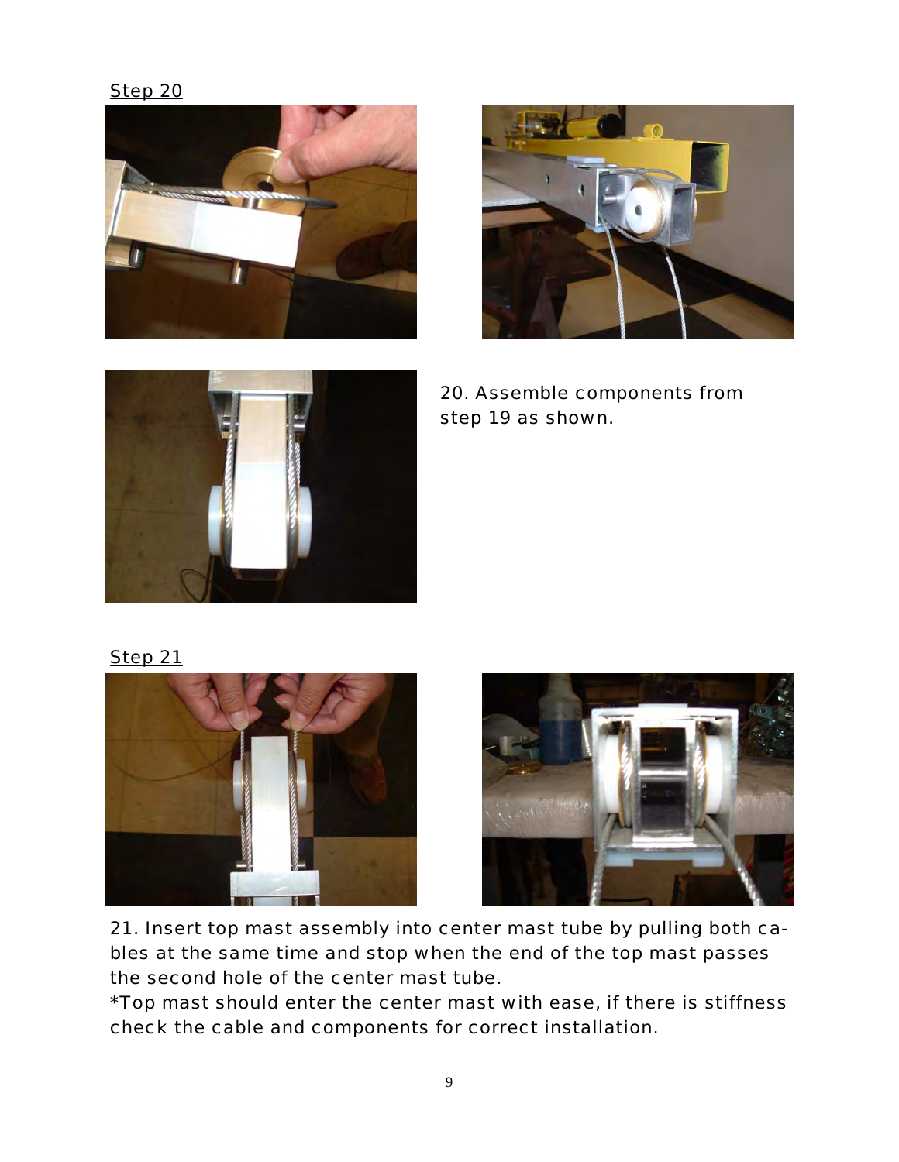*Step 20*







*20. Assemble components from step 19 as shown.* 

*Step 21*





*21. Insert top mast assembly into center mast tube by pulling both cables at the same time and stop when the end of the top mast passes the second hole of the center mast tube.* 

*\*Top mast should enter the center mast with ease, if there is stiffness check the cable and components for correct installation.*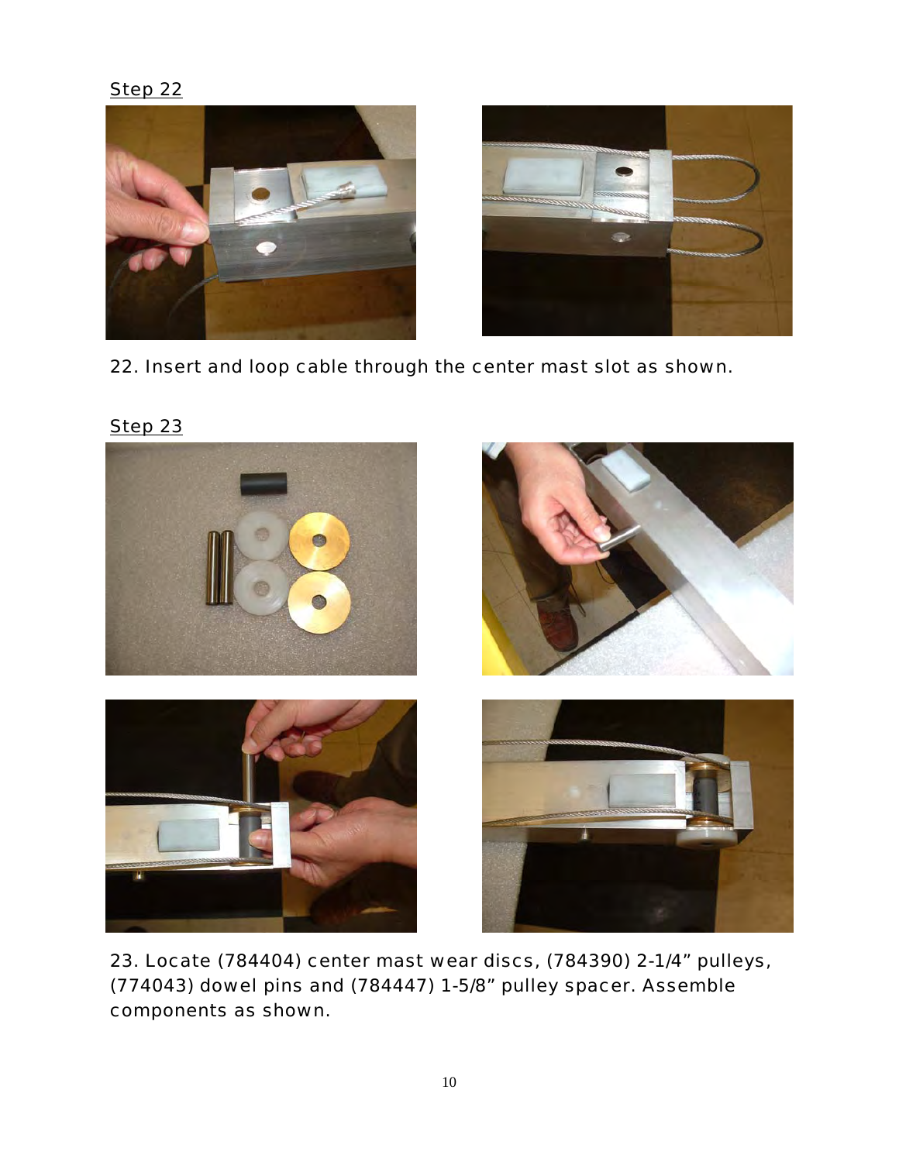



*22. Insert and loop cable through the center mast slot as shown.* 



*23. Locate (784404) center mast wear discs, (784390) 2-1/4" pulleys, (774043) dowel pins and (784447) 1-5/8" pulley spacer. Assemble components as shown.* 

*Step 23*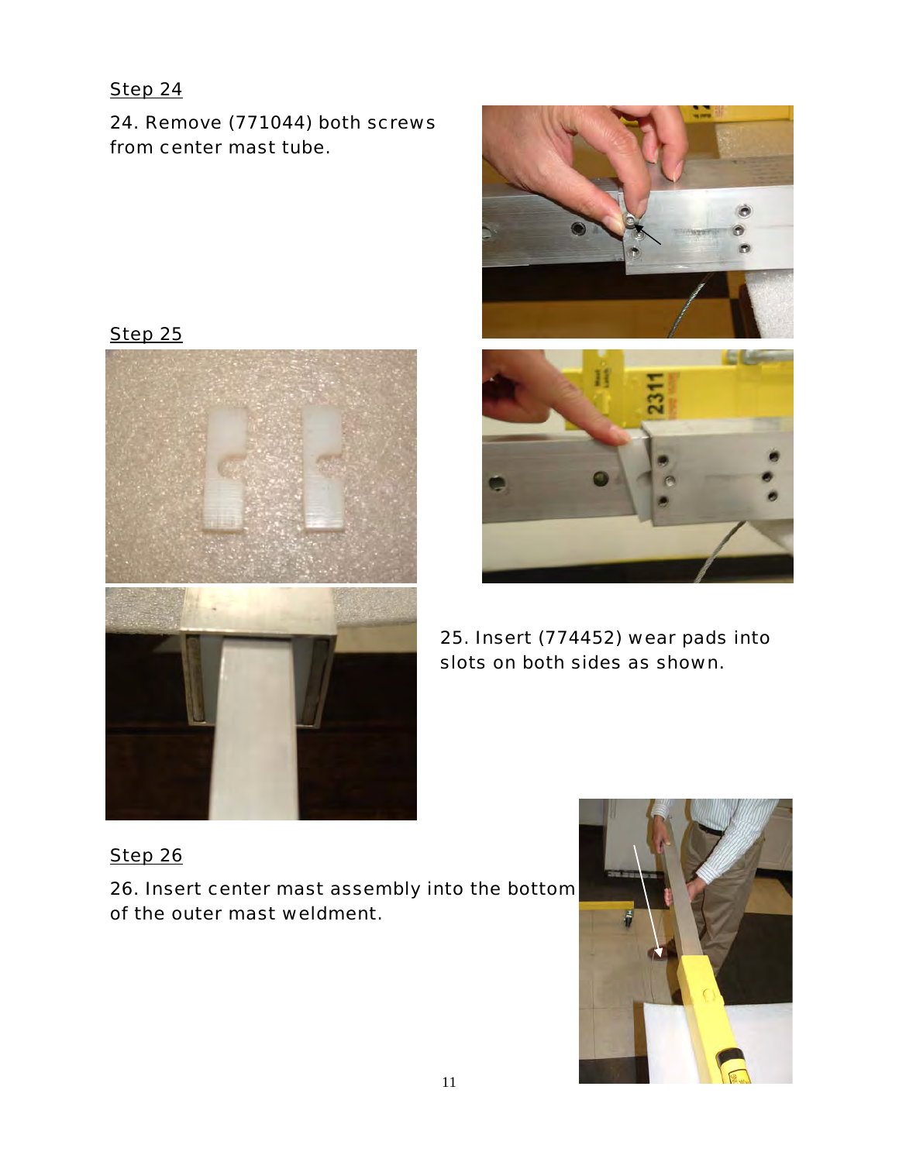*24. Remove (771044) both screws from center mast tube.* 







*25. Insert (774452) wear pads into slots on both sides as shown.* 

*Step 26 26. Insert center mast assembly into the bottom of the outer mast weldment.* 

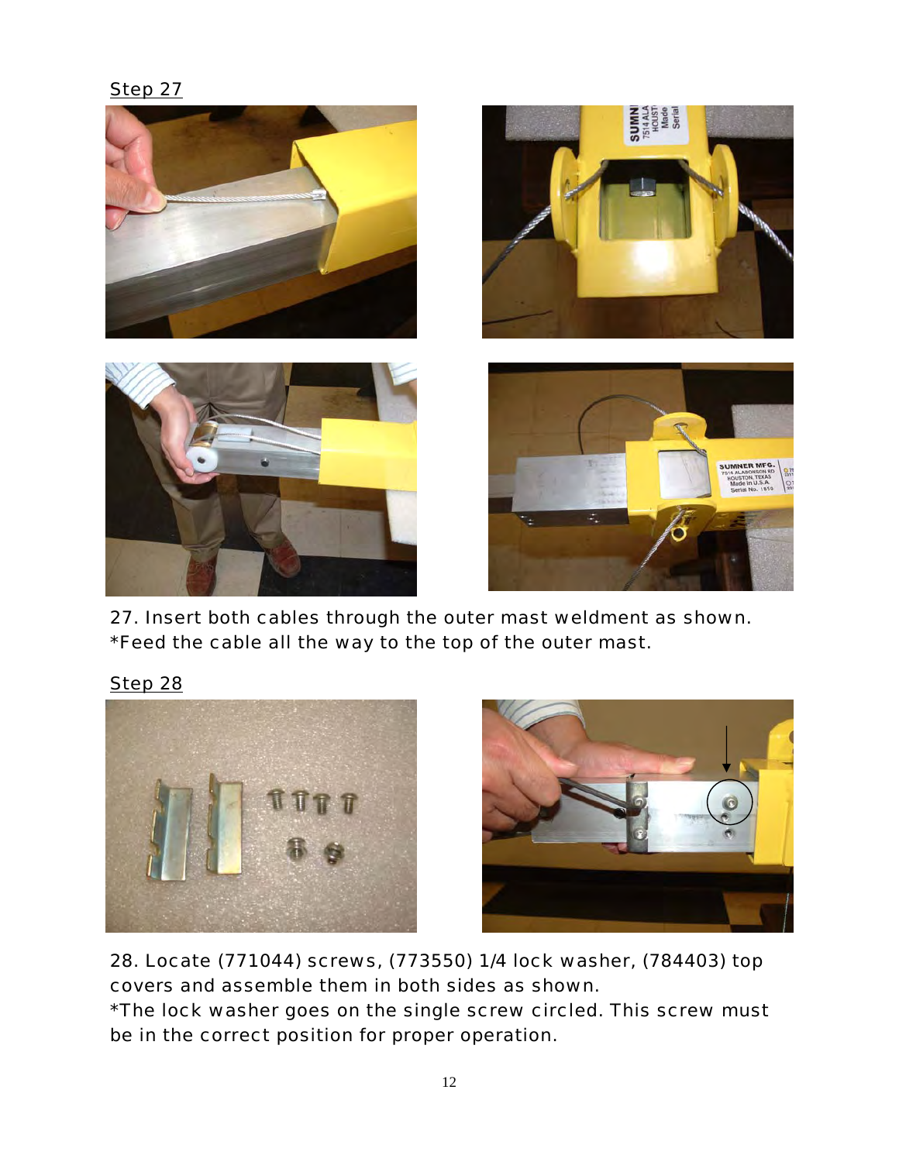*Step 27*



*27. Insert both cables through the outer mast weldment as shown. \*Feed the cable all the way to the top of the outer mast.* 





*28. Locate (771044) screws, (773550) 1/4 lock washer, (784403) top covers and assemble them in both sides as shown. \*The lock washer goes on the single screw circled. This screw must be in the correct position for proper operation.*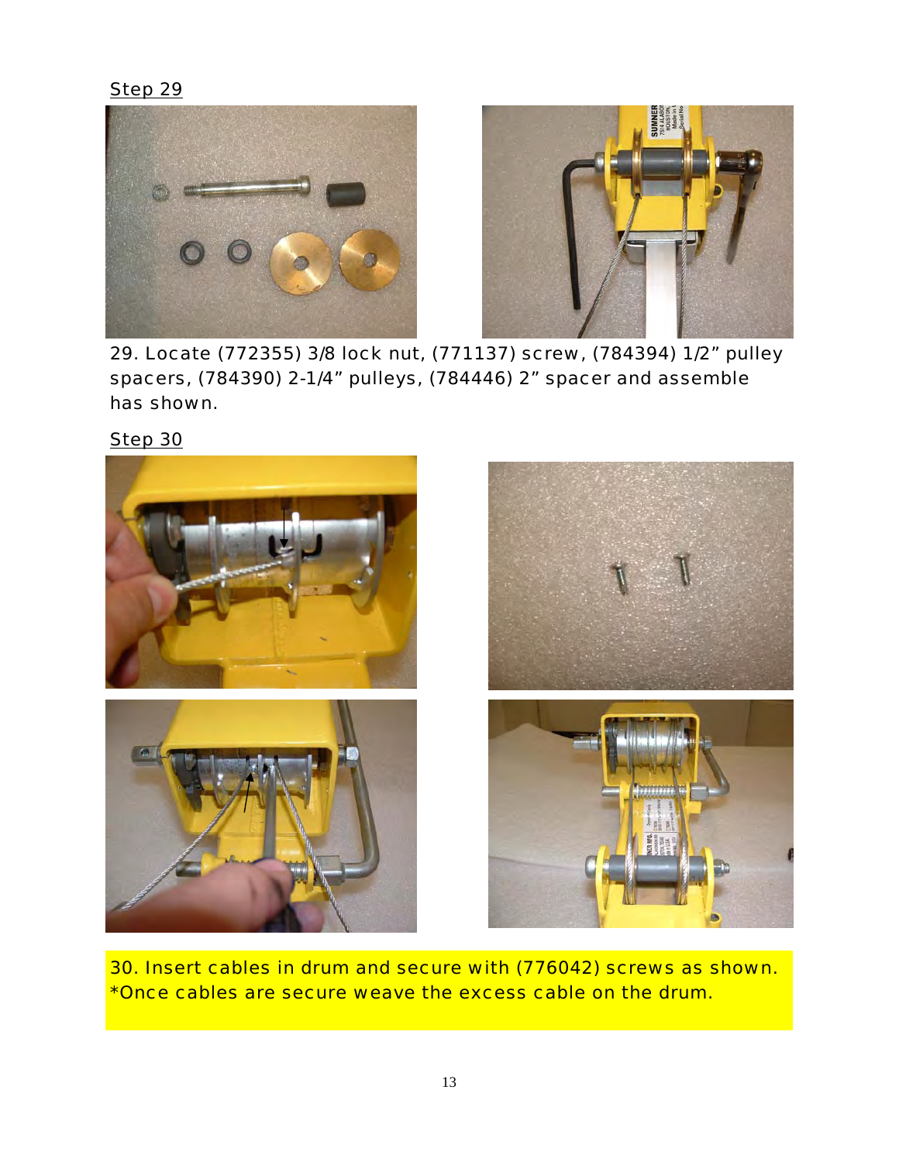$$
f\in \mathcal{F}
$$



*29. Locate (772355) 3/8 lock nut, (771137) screw, (784394) 1/2" pulley spacers, (784390) 2-1/4" pulleys, (784446) 2" spacer and assemble has shown.* 

*Step 29*



*30. Insert cables in drum and secure with (776042) screws as shown. \*Once cables are secure weave the excess cable on the drum.*